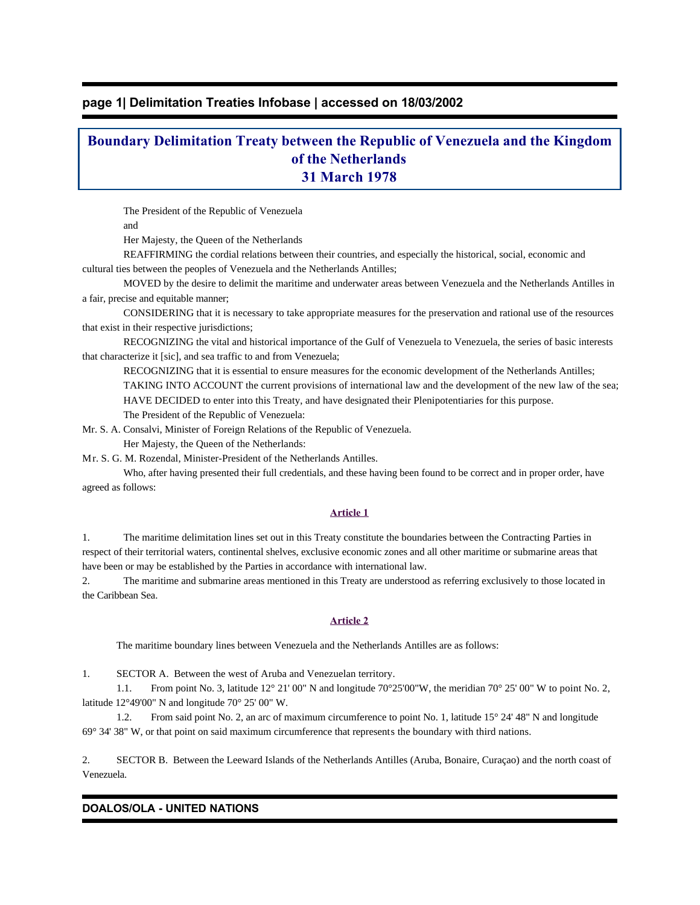# **page 1| Delimitation Treaties Infobase | accessed on 18/03/2002**

# **Boundary Delimitation Treaty between the Republic of Venezuela and the Kingdom of the Netherlands 31 March 1978**

The President of the Republic of Venezuela

and

Her Majesty, the Queen of the Netherlands

 REAFFIRMING the cordial relations between their countries, and especially the historical, social, economic and cultural ties between the peoples of Venezuela and the Netherlands Antilles;

 MOVED by the desire to delimit the maritime and underwater areas between Venezuela and the Netherlands Antilles in a fair, precise and equitable manner;

 CONSIDERING that it is necessary to take appropriate measures for the preservation and rational use of the resources that exist in their respective jurisdictions;

 RECOGNIZING the vital and historical importance of the Gulf of Venezuela to Venezuela, the series of basic interests that characterize it [sic], and sea traffic to and from Venezuela;

 RECOGNIZING that it is essential to ensure measures for the economic development of the Netherlands Antilles; TAKING INTO ACCOUNT the current provisions of international law and the development of the new law of the sea; HAVE DECIDED to enter into this Treaty, and have designated their Plenipotentiaries for this purpose. The President of the Republic of Venezuela:

Mr. S. A. Consalvi, Minister of Foreign Relations of the Republic of Venezuela.

Her Majesty, the Queen of the Netherlands:

Mr. S. G. M. Rozendal, Minister-President of the Netherlands Antilles.

 Who, after having presented their full credentials, and these having been found to be correct and in proper order, have agreed as follows:

## **Article 1**

1. The maritime delimitation lines set out in this Treaty constitute the boundaries between the Contracting Parties in respect of their territorial waters, continental shelves, exclusive economic zones and all other maritime or submarine areas that have been or may be established by the Parties in accordance with international law.

2. The maritime and submarine areas mentioned in this Treaty are understood as referring exclusively to those located in the Caribbean Sea.

# **Article 2**

The maritime boundary lines between Venezuela and the Netherlands Antilles are as follows:

1. SECTOR A. Between the west of Aruba and Venezuelan territory.

 1.1. From point No. 3, latitude 12° 21' 00" N and longitude 70°25'00"W, the meridian 70° 25' 00" W to point No. 2, latitude 12°49'00" N and longitude 70° 25' 00" W.

1.2. From said point No. 2, an arc of maximum circumference to point No. 1, latitude 15° 24' 48" N and longitude 69° 34' 38" W, or that point on said maximum circumference that represents the boundary with third nations.

2. SECTOR B. Between the Leeward Islands of the Netherlands Antilles (Aruba, Bonaire, Curaçao) and the north coast of Venezuela.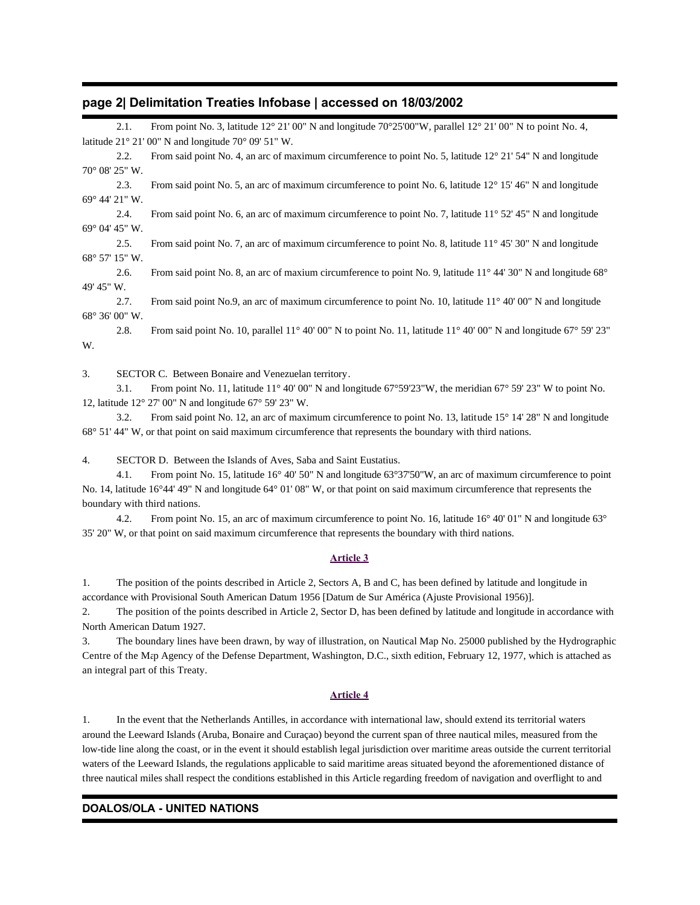## **page 2| Delimitation Treaties Infobase | accessed on 18/03/2002**

|            | 2.1.                                                | From point No. 3, latitude 12° 21′ 00″ N and longitude 70°25′ 00″ W, parallel 12° 21′ 00″ N to point No. 4,                        |
|------------|-----------------------------------------------------|------------------------------------------------------------------------------------------------------------------------------------|
|            |                                                     | latitude $21^{\circ}$ 21' 00" N and longitude 70° 09' 51" W.                                                                       |
|            | 2.2.                                                | From said point No. 4, an arc of maximum circumference to point No. 5, latitude 12° 21′ 54″ N and longitude                        |
|            | $70^{\circ}$ 08' 25" W.                             |                                                                                                                                    |
|            | 2.3.                                                | From said point No. 5, an arc of maximum circumference to point No. 6, latitude 12° 15' 46" N and longitude                        |
|            | $69^{\circ}$ 44' 21" W.                             |                                                                                                                                    |
|            | 2.4.                                                | From said point No. 6, an arc of maximum circumference to point No. 7, latitude 11 $\degree$ 52' 45" N and longitude               |
|            | 69° 04' 45" W.                                      |                                                                                                                                    |
|            | 2.5.                                                | From said point No. 7, an arc of maximum circumference to point No. 8, latitude 11°45' 30" N and longitude                         |
|            | 68° 57' 15" W.                                      |                                                                                                                                    |
|            | 2.6.                                                | From said point No. 8, an arc of maxium circumference to point No. 9, latitude $11^{\circ}$ 44' 30" N and longitude 68°            |
| 49' 45" W. |                                                     |                                                                                                                                    |
|            | 2.7.                                                | From said point No.9, an arc of maximum circumference to point No. 10, latitude $11^{\circ}$ 40' 00" N and longitude               |
|            | $68^{\circ} 36' 00''$ W.                            |                                                                                                                                    |
|            | 2.8.                                                | From said point No. 10, parallel $11^{\circ}$ 40' 00" N to point No. 11, latitude $11^{\circ}$ 40' 00" N and longitude 67° 59' 23" |
| W.         |                                                     |                                                                                                                                    |
| 3.         | SECTOR C. Between Bonaire and Venezuelan territory. |                                                                                                                                    |

 3.1. From point No. 11, latitude 11° 40' 00" N and longitude 67°59'23"W, the meridian 67° 59' 23" W to point No. 12, latitude 12° 27' 00" N and longitude 67° 59' 23" W.

 3.2. From said point No. 12, an arc of maximum circumference to point No. 13, latitude 15° 14' 28" N and longitude 68° 51' 44" W, or that point on said maximum circumference that represents the boundary with third nations.

4. SECTOR D. Between the Islands of Aves, Saba and Saint Eustatius.

 4.1. From point No. 15, latitude 16° 40' 50" N and longitude 63°37'50"W, an arc of maximum circumference to point No. 14, latitude 16°44' 49" N and longitude 64° 01' 08" W, or that point on said maximum circumference that represents the boundary with third nations.

 4.2. From point No. 15, an arc of maximum circumference to point No. 16, latitude 16° 40' 01" N and longitude 63° 35' 20" W, or that point on said maximum circumference that represents the boundary with third nations.

### **Article 3**

1. The position of the points described in Article 2, Sectors A, B and C, has been defined by latitude and longitude in accordance with Provisional South American Datum 1956 [Datum de Sur América (Ajuste Provisional 1956)].

2. The position of the points described in Article 2, Sector D, has been defined by latitude and longitude in accordance with North American Datum 1927.

3. The boundary lines have been drawn, by way of illustration, on Nautical Map No. 25000 published by the Hydrographic Centre of the Map Agency of the Defense Department, Washington, D.C., sixth edition, February 12, 1977, which is attached as an integral part of this Treaty.

#### **Article 4**

1. In the event that the Netherlands Antilles, in accordance with international law, should extend its territorial waters around the Leeward Islands (Aruba, Bonaire and Curaçao) beyond the current span of three nautical miles, measured from the low-tide line along the coast, or in the event it should establish legal jurisdiction over maritime areas outside the current territorial waters of the Leeward Islands, the regulations applicable to said maritime areas situated beyond the aforementioned distance of three nautical miles shall respect the conditions established in this Article regarding freedom of navigation and overflight to and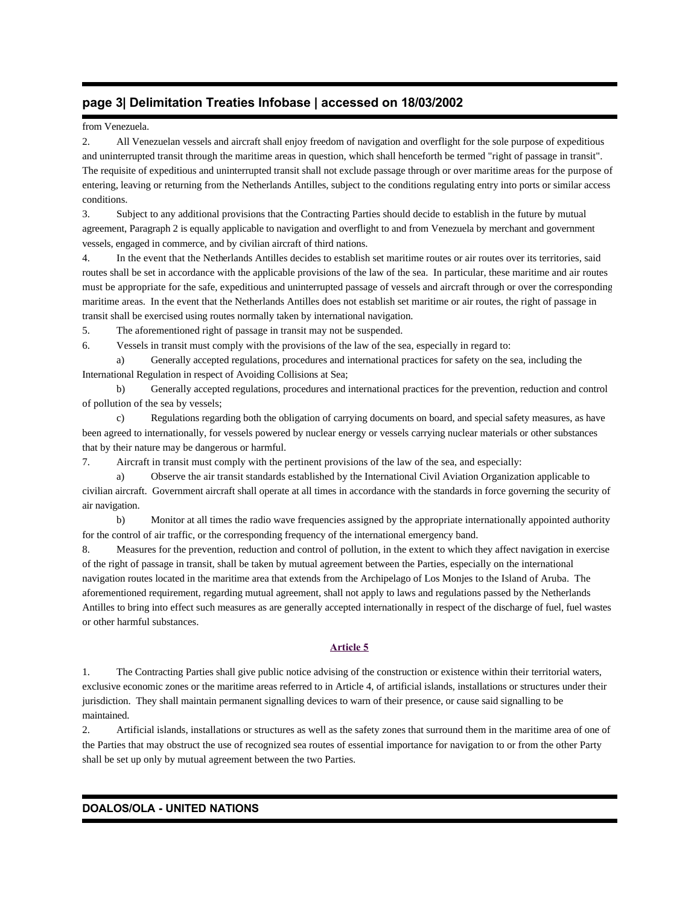# **page 3| Delimitation Treaties Infobase | accessed on 18/03/2002**

### from Venezuela.

2. All Venezuelan vessels and aircraft shall enjoy freedom of navigation and overflight for the sole purpose of expeditious and uninterrupted transit through the maritime areas in question, which shall henceforth be termed "right of passage in transit". The requisite of expeditious and uninterrupted transit shall not exclude passage through or over maritime areas for the purpose of entering, leaving or returning from the Netherlands Antilles, subject to the conditions regulating entry into ports or similar access conditions.

3. Subject to any additional provisions that the Contracting Parties should decide to establish in the future by mutual agreement, Paragraph 2 is equally applicable to navigation and overflight to and from Venezuela by merchant and government vessels, engaged in commerce, and by civilian aircraft of third nations.

4. In the event that the Netherlands Antilles decides to establish set maritime routes or air routes over its territories, said routes shall be set in accordance with the applicable provisions of the law of the sea. In particular, these maritime and air routes must be appropriate for the safe, expeditious and uninterrupted passage of vessels and aircraft through or over the corresponding maritime areas. In the event that the Netherlands Antilles does not establish set maritime or air routes, the right of passage in transit shall be exercised using routes normally taken by international navigation.

5. The aforementioned right of passage in transit may not be suspended.

6. Vessels in transit must comply with the provisions of the law of the sea, especially in regard to:

 a) Generally accepted regulations, procedures and international practices for safety on the sea, including the International Regulation in respect of Avoiding Collisions at Sea;

 b) Generally accepted regulations, procedures and international practices for the prevention, reduction and control of pollution of the sea by vessels;

 c) Regulations regarding both the obligation of carrying documents on board, and special safety measures, as have been agreed to internationally, for vessels powered by nuclear energy or vessels carrying nuclear materials or other substances that by their nature may be dangerous or harmful.

7. Aircraft in transit must comply with the pertinent provisions of the law of the sea, and especially:

 a) Observe the air transit standards established by the International Civil Aviation Organization applicable to civilian aircraft. Government aircraft shall operate at all times in accordance with the standards in force governing the security of air navigation.

 b) Monitor at all times the radio wave frequencies assigned by the appropriate internationally appointed authority for the control of air traffic, or the corresponding frequency of the international emergency band.

8. Measures for the prevention, reduction and control of pollution, in the extent to which they affect navigation in exercise of the right of passage in transit, shall be taken by mutual agreement between the Parties, especially on the international navigation routes located in the maritime area that extends from the Archipelago of Los Monjes to the Island of Aruba. The aforementioned requirement, regarding mutual agreement, shall not apply to laws and regulations passed by the Netherlands Antilles to bring into effect such measures as are generally accepted internationally in respect of the discharge of fuel, fuel wastes or other harmful substances.

## **Article 5**

1. The Contracting Parties shall give public notice advising of the construction or existence within their territorial waters, exclusive economic zones or the maritime areas referred to in Article 4, of artificial islands, installations or structures under their jurisdiction. They shall maintain permanent signalling devices to warn of their presence, or cause said signalling to be maintained.

2. Artificial islands, installations or structures as well as the safety zones that surround them in the maritime area of one of the Parties that may obstruct the use of recognized sea routes of essential importance for navigation to or from the other Party shall be set up only by mutual agreement between the two Parties.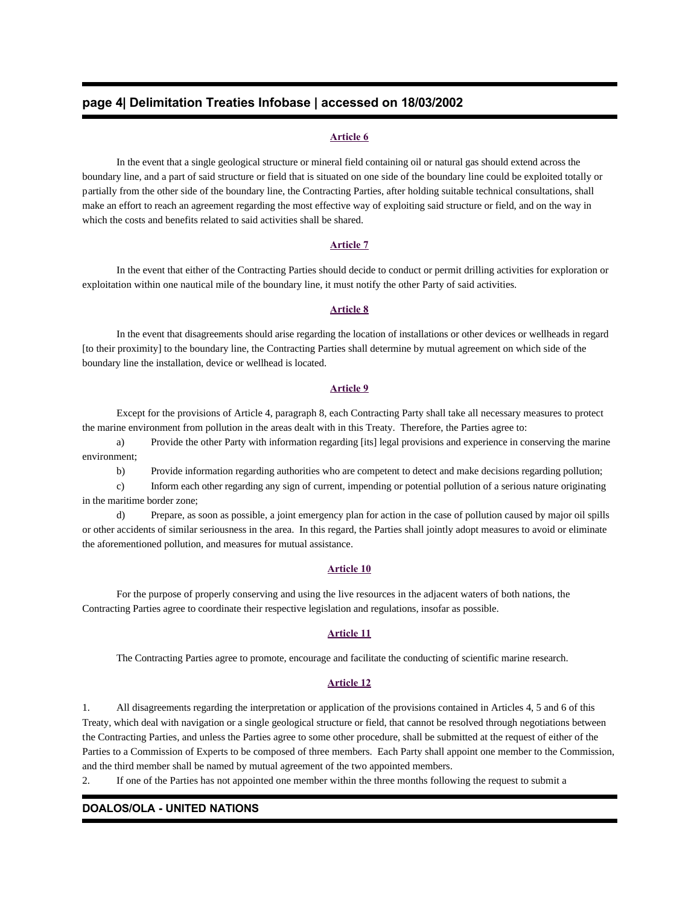# **page 4| Delimitation Treaties Infobase | accessed on 18/03/2002**

#### **Article 6**

 In the event that a single geological structure or mineral field containing oil or natural gas should extend across the boundary line, and a part of said structure or field that is situated on one side of the boundary line could be exploited totally or partially from the other side of the boundary line, the Contracting Parties, after holding suitable technical consultations, shall make an effort to reach an agreement regarding the most effective way of exploiting said structure or field, and on the way in which the costs and benefits related to said activities shall be shared.

## **Article 7**

 In the event that either of the Contracting Parties should decide to conduct or permit drilling activities for exploration or exploitation within one nautical mile of the boundary line, it must notify the other Party of said activities.

#### **Article 8**

 In the event that disagreements should arise regarding the location of installations or other devices or wellheads in regard [to their proximity] to the boundary line, the Contracting Parties shall determine by mutual agreement on which side of the boundary line the installation, device or wellhead is located.

#### **Article 9**

 Except for the provisions of Article 4, paragraph 8, each Contracting Party shall take all necessary measures to protect the marine environment from pollution in the areas dealt with in this Treaty. Therefore, the Parties agree to:

 a) Provide the other Party with information regarding [its] legal provisions and experience in conserving the marine environment;

b) Provide information regarding authorities who are competent to detect and make decisions regarding pollution;

 c) Inform each other regarding any sign of current, impending or potential pollution of a serious nature originating in the maritime border zone;

 d) Prepare, as soon as possible, a joint emergency plan for action in the case of pollution caused by major oil spills or other accidents of similar seriousness in the area. In this regard, the Parties shall jointly adopt measures to avoid or eliminate the aforementioned pollution, and measures for mutual assistance.

#### **Article 10**

 For the purpose of properly conserving and using the live resources in the adjacent waters of both nations, the Contracting Parties agree to coordinate their respective legislation and regulations, insofar as possible.

#### **Article 11**

The Contracting Parties agree to promote, encourage and facilitate the conducting of scientific marine research.

#### **Article 12**

1. All disagreements regarding the interpretation or application of the provisions contained in Articles 4, 5 and 6 of this Treaty, which deal with navigation or a single geological structure or field, that cannot be resolved through negotiations between the Contracting Parties, and unless the Parties agree to some other procedure, shall be submitted at the request of either of the Parties to a Commission of Experts to be composed of three members. Each Party shall appoint one member to the Commission, and the third member shall be named by mutual agreement of the two appointed members.

2. If one of the Parties has not appointed one member within the three months following the request to submit a